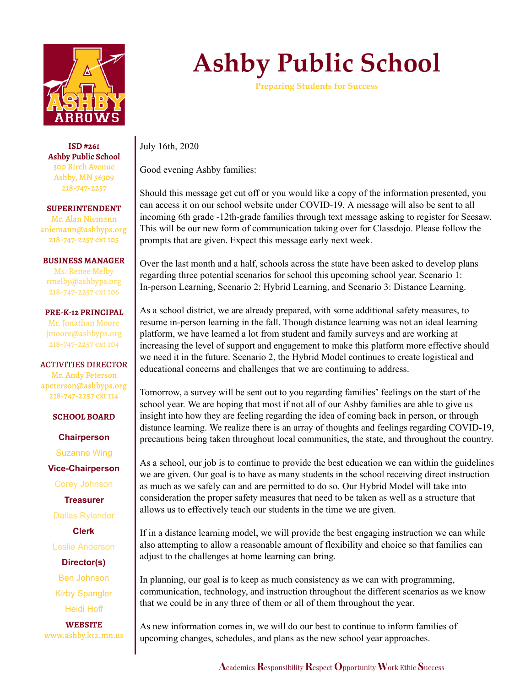

**ISD #261 Ashby Public School** 300 Birch Avenue Ashby, MN 56309 218-747-2257

**SUPERINTENDENT** Mr. Alan Niemann aniemann@ashbyps.org 218-747-2257 ext 105

**BUSINESS MANAGER** Ms. Renee Melby rmelby@ashbyps.org 218-747-2257 ext 106

**PRE-K-12 PRINCIPAL** Mr. Jonathan Moore jmoore@ashbyps.org 218-747-2257 ext 104

ACTIVITIES DIRECTOR Mr. Andy Peterson apeterson@ashbyps.org 218-747-2257 ext 114

**SCHOOL BOARD**

**Chairperson** Suzanne Wing

**Vice-Chairperson**

Corey Johnson

**Treasurer**

Dallas Rylander

**Clerk**

Leslie Anderson

**Director(s)** Ben Johnson Kirby Spangler Heidi Hoff

**WEBSITE** www.ashby.k12.mn.us

## **Ashby Public School**

**Preparing Students for Success**

July 16th, 2020

Good evening Ashby families:

Should this message get cut off or you would like a copy of the information presented, you can access it on our school website under COVID-19. A message will also be sent to all incoming 6th grade -12th-grade families through text message asking to register for Seesaw. This will be our new form of communication taking over for Classdojo. Please follow the prompts that are given. Expect this message early next week.

Over the last month and a half, schools across the state have been asked to develop plans regarding three potential scenarios for school this upcoming school year. Scenario 1: In-person Learning, Scenario 2: Hybrid Learning, and Scenario 3: Distance Learning.

As a school district, we are already prepared, with some additional safety measures, to resume in-person learning in the fall. Though distance learning was not an ideal learning platform, we have learned a lot from student and family surveys and are working at increasing the level of support and engagement to make this platform more effective should we need it in the future. Scenario 2, the Hybrid Model continues to create logistical and educational concerns and challenges that we are continuing to address.

Tomorrow, a survey will be sent out to you regarding families' feelings on the start of the school year. We are hoping that most if not all of our Ashby families are able to give us insight into how they are feeling regarding the idea of coming back in person, or through distance learning. We realize there is an array of thoughts and feelings regarding COVID-19, precautions being taken throughout local communities, the state, and throughout the country.

As a school, our job is to continue to provide the best education we can within the guidelines we are given. Our goal is to have as many students in the school receiving direct instruction as much as we safely can and are permitted to do so. Our Hybrid Model will take into consideration the proper safety measures that need to be taken as well as a structure that allows us to effectively teach our students in the time we are given.

If in a distance learning model, we will provide the best engaging instruction we can while also attempting to allow a reasonable amount of flexibility and choice so that families can adjust to the challenges at home learning can bring.

In planning, our goal is to keep as much consistency as we can with programming, communication, technology, and instruction throughout the different scenarios as we know that we could be in any three of them or all of them throughout the year.

As new information comes in, we will do our best to continue to inform families of upcoming changes, schedules, and plans as the new school year approaches.